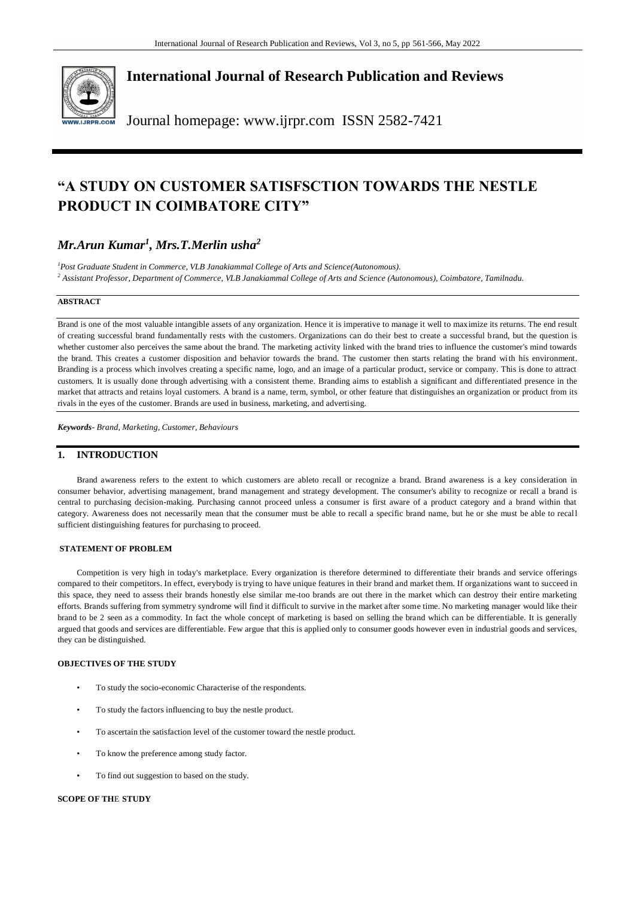

**International Journal of Research Publication and Reviews**

Journal homepage: www.ijrpr.com ISSN 2582-7421

# **"A STUDY ON CUSTOMER SATISFSCTION TOWARDS THE NESTLE PRODUCT IN COIMBATORE CITY"**

## *Mr.Arun Kumar<sup>1</sup> , Mrs.T.Merlin usha<sup>2</sup>*

*<sup>1</sup>Post Graduate Student in Commerce, VLB Janakiammal College of Arts and Science(Autonomous). <sup>2</sup> Assistant Professor, Department of Commerce, VLB Janakiammal College of Arts and Science (Autonomous), Coimbatore, Tamilnadu.*

## **ABSTRACT**

Brand is one of the most valuable intangible assets of any organization. Hence it is imperative to manage it well to maximize its returns. The end result of creating successful brand fundamentally rests with the customers. Organizations can do their best to create a successful brand, but the question is whether customer also perceives the same about the brand. The marketing activity linked with the brand tries to influence the customer's mind towards the brand. This creates a customer disposition and behavior towards the brand. The customer then starts relating the brand with his environment. Branding is a process which involves creating a specific name, logo, and an image of a particular product, service or company. This is done to attract customers. It is usually done through advertising with a consistent theme. Branding aims to establish a significant and differentiated presence in the market that attracts and retains loyal customers. A brand is a name, term, symbol, or other feature that distinguishes an organization or product from its rivals in the eyes of the customer. Brands are used in business, marketing, and advertising.

*Keywords- Brand, Marketing, Customer, Behaviours*

## **1. INTRODUCTION**

Brand awareness refers to the extent to which customers are ableto recall or recognize a brand. Brand awareness is a key consideration in consumer behavior, advertising management, brand management and strategy development. The consumer's ability to recognize or recall a brand is central to purchasing decision-making. Purchasing cannot proceed unless a consumer is first aware of a product category and a brand within that category. Awareness does not necessarily mean that the consumer must be able to recall a specific brand name, but he or she must be able to recall sufficient distinguishing features for purchasing to proceed.

## **STATEMENT OF PROBLEM**

Competition is very high in today's marketplace. Every organization is therefore determined to differentiate their brands and service offerings compared to their competitors. In effect, everybody is trying to have unique features in their brand and market them. If organizations want to succeed in this space, they need to assess their brands honestly else similar me-too brands are out there in the market which can destroy their entire marketing efforts. Brands suffering from symmetry syndrome will find it difficult to survive in the market after some time. No marketing manager would like their brand to be 2 seen as a commodity. In fact the whole concept of marketing is based on selling the brand which can be differentiable. It is generally argued that goods and services are differentiable. Few argue that this is applied only to consumer goods however even in industrial goods and services, they can be distinguished.

#### **OBJECTIVES OF THE STUDY**

- To study the socio-economic Characterise of the respondents.
- To study the factors influencing to buy the nestle product.
- To ascertain the satisfaction level of the customer toward the nestle product.
- To know the preference among study factor.
- To find out suggestion to based on the study.

#### **SCOPE OF TH**E **STUDY**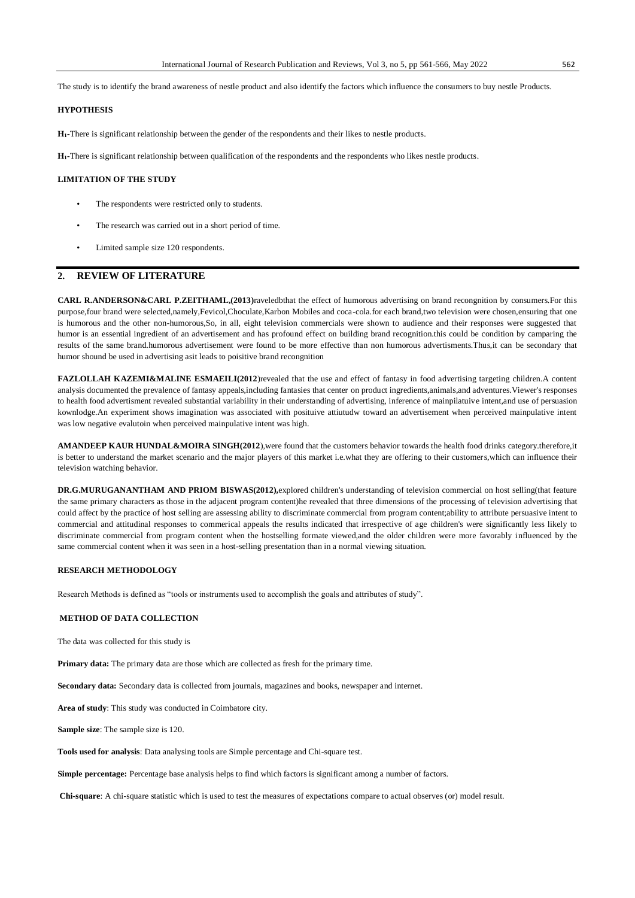The study is to identify the brand awareness of nestle product and also identify the factors which influence the consumers to buy nestle Products.

### **HYPOTHESIS**

**H1-**There is significant relationship between the gender of the respondents and their likes to nestle products.

**H1-**There is significant relationship between qualification of the respondents and the respondents who likes nestle products.

#### **LIMITATION OF THE STUDY**

- The respondents were restricted only to students.
- The research was carried out in a short period of time.
- Limited sample size 120 respondents.

## **2. REVIEW OF LITERATURE**

**CARL R.ANDERSON&CARL P.ZEITHAML,(2013)**raveledbthat the effect of humorous advertising on brand recongnition by consumers.For this purpose,four brand were selected,namely,Fevicol,Choculate,Karbon Mobiles and coca-cola.for each brand,two television were chosen,ensuring that one is humorous and the other non-humorous,So, in all, eight television commercials were shown to audience and their responses were suggested that humor is an essential ingredient of an advertisement and has profound effect on building brand recognition.this could be condition by camparing the results of the same brand.humorous advertisement were found to be more effective than non humorous advertisments.Thus,it can be secondary that humor shound be used in advertising asit leads to poisitive brand recongnition

**FAZLOLLAH KAZEMI&MALINE ESMAEILI(2012**)revealed that the use and effect of fantasy in food advertising targeting children.A content analysis documented the prevalence of fantasy appeals,including fantasies that center on product ingredients,animals,and adventures.Viewer's responses to health food advertisment revealed substantial variability in their understanding of advertising, inference of mainpilatuive intent,and use of persuasion kownlodge.An experiment shows imagination was associated with posituive attiutudw toward an advertisement when perceived mainpulative intent was low negative evalutoin when perceived mainpulative intent was high.

**AMANDEEP KAUR HUNDAL&MOIRA SINGH(2012**),were found that the customers behavior towards the health food drinks category.therefore,it is better to understand the market scenario and the major players of this market i.e.what they are offering to their customers,which can influence their television watching behavior.

**DR.G.MURUGANANTHAM AND PRIOM BISWAS(2012),**explored children's understanding of television commercial on host selling(that feature the same primary characters as those in the adjacent program content)he revealed that three dimensions of the processing of television advertising that could affect by the practice of host selling are assessing ability to discriminate commercial from program content;ability to attribute persuasive intent to commercial and attitudinal responses to commerical appeals the results indicated that irrespective of age children's were significantly less likely to discriminate commercial from program content when the hostselling formate viewed,and the older children were more favorably influenced by the same commercial content when it was seen in a host-selling presentation than in a normal viewing situation.

#### **RESEARCH METHODOLOGY**

Research Methods is defined as "tools or instruments used to accomplish the goals and attributes of study".

#### **METHOD OF DATA COLLECTION**

The data was collected for this study is

**Primary data:** The primary data are those which are collected as fresh for the primary time.

**Secondary data:** Secondary data is collected from journals, magazines and books, newspaper and internet.

**Area of study**: This study was conducted in Coimbatore city.

**Sample size**: The sample size is 120.

**Tools used for analysis**: Data analysing tools are Simple percentage and Chi-square test.

**Simple percentage:** Percentage base analysis helps to find which factors is significant among a number of factors.

**Chi-square**: A chi-square statistic which is used to test the measures of expectations compare to actual observes (or) model result.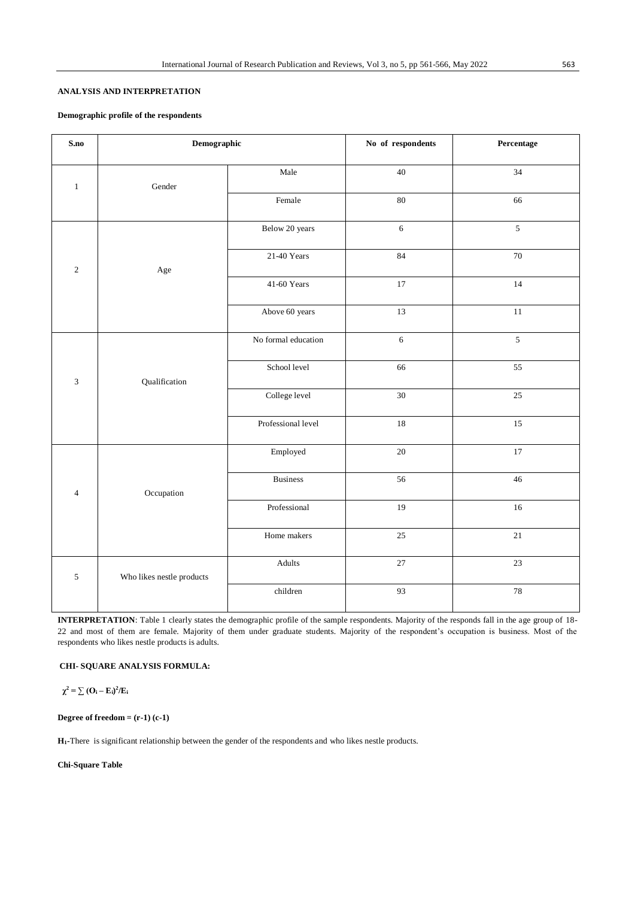## **ANALYSIS AND INTERPRETATION**

## **Demographic profile of the respondents**

| S.no         | Demographic               |                     | No of respondents | Percentage     |
|--------------|---------------------------|---------------------|-------------------|----------------|
| $\mathbf{1}$ | Gender                    | Male                | $40\,$            | 34             |
|              |                           | Female              | 80                | 66             |
| $\sqrt{2}$   |                           | Below 20 years      | $\sqrt{6}$        | $\mathfrak{S}$ |
|              | $_{\rm Age}$              | 21-40 Years         | 84                | 70             |
|              |                           | 41-60 Years         | 17                | 14             |
|              |                           | Above 60 years      | 13                | $11\,$         |
| $\sqrt{3}$   | Qualification             | No formal education | $\sqrt{6}$        | $\mathfrak{S}$ |
|              |                           | School level        | 66                | 55             |
|              |                           | College level       | $30\,$            | 25             |
|              |                           | Professional level  | 18                | 15             |
| $\sqrt{4}$   | Occupation                | Employed            | $20\,$            | $17\,$         |
|              |                           | Business            | 56                | 46             |
|              |                           | Professional        | 19                | 16             |
|              |                           | Home makers         | $25\,$            | $21\,$         |
| $\sqrt{5}$   | Who likes nestle products | Adults              | $27\,$            | 23             |
|              |                           | children            | 93                | 78             |

**INTERPRETATION**: Table 1 clearly states the demographic profile of the sample respondents. Majority of the responds fall in the age group of 18- 22 and most of them are female. Majority of them under graduate students. Majority of the respondent's occupation is business. Most of the respondents who likes nestle products is adults.

## **CHI- SQUARE ANALYSIS FORMULA:**

 $\chi^2 = \sum (\mathbf{O_i} - \mathbf{E_i})^2 / \mathbf{E_i}$ 

**Degree of freedom = (r-1) (c-1)** 

**H1-**There is significant relationship between the gender of the respondents and who likes nestle products.

**Chi-Square Table**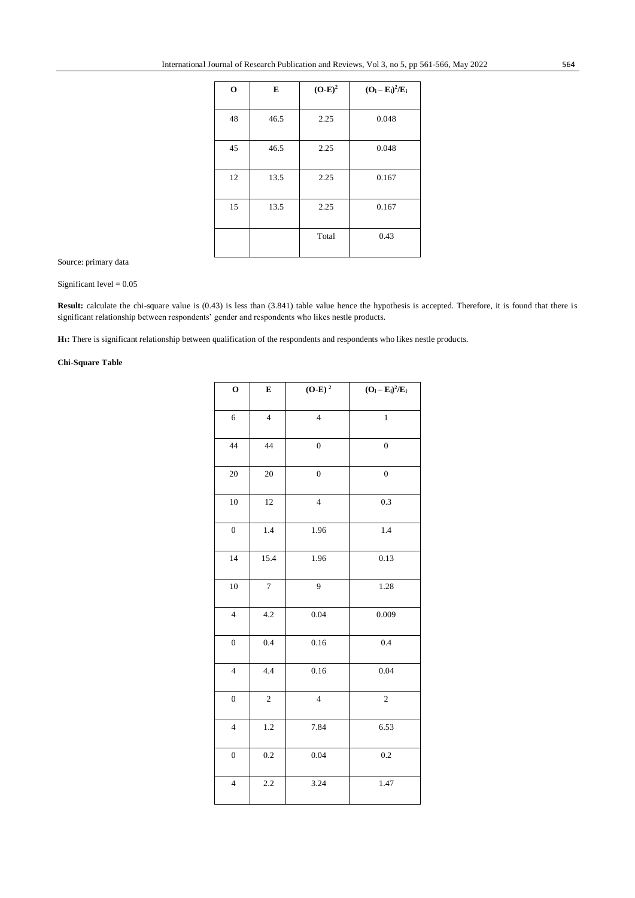| $\mathbf{o}$ | E    | $(O-E)^2$ | $(O_i - E_i)^2/E_i$ |
|--------------|------|-----------|---------------------|
| 48           | 46.5 | 2.25      | 0.048               |
|              |      |           |                     |
| 45           | 46.5 | 2.25      | 0.048               |
| 12           | 13.5 | 2.25      | 0.167               |
|              |      |           |                     |
| 15           | 13.5 | 2.25      | 0.167               |
|              |      | Total     | 0.43                |
|              |      |           |                     |

Source: primary data

Significant level = 0.05

Result: calculate the chi-square value is (0.43) is less than (3.841) table value hence the hypothesis is accepted. Therefore, it is found that there is significant relationship between respondents' gender and respondents who likes nestle products.

**H1:** There is significant relationship between qualification of the respondents and respondents who likes nestle products.

## **Chi-Square Table**

| $\mathbf{o}$             | E              | $(O-E)2$                | $(O_i - E_i)^2/E_i$ |
|--------------------------|----------------|-------------------------|---------------------|
| $\sqrt{6}$               | $\overline{4}$ | $\overline{4}$          | $\,1$               |
| 44                       | 44             | $\boldsymbol{0}$        | $\boldsymbol{0}$    |
| 20                       | $20\,$         | $\boldsymbol{0}$        | $\boldsymbol{0}$    |
| 10                       | 12             | $\overline{\mathbf{4}}$ | 0.3                 |
| $\boldsymbol{0}$         | 1.4            | 1.96                    | 1.4                 |
| 14                       | 15.4           | 1.96                    | 0.13                |
| 10                       | $\overline{7}$ | 9                       | 1.28                |
| $\overline{4}$           | 4.2            | 0.04                    | 0.009               |
| $\boldsymbol{0}$         | $0.4\,$        | 0.16                    | 0.4                 |
| $\overline{4}$           | 4.4            | 0.16                    | 0.04                |
| $\boldsymbol{0}$         | $\sqrt{2}$     | $\overline{4}$          | $\overline{c}$      |
| $\overline{\mathcal{L}}$ | 1.2            | 7.84                    | 6.53                |
| $\boldsymbol{0}$         | 0.2            | 0.04                    | 0.2                 |
| $\overline{\mathcal{L}}$ | 2.2            | 3.24                    | 1.47                |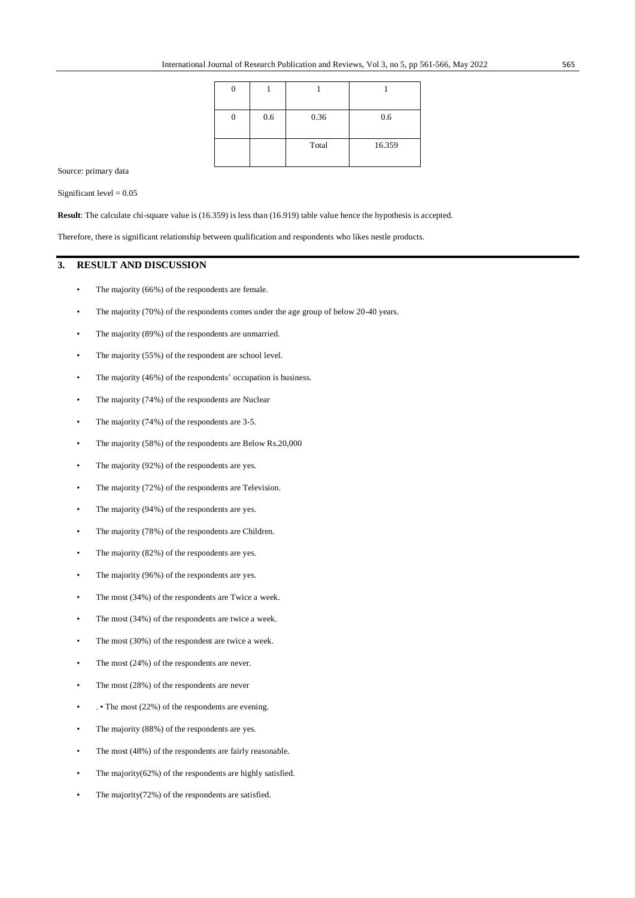|  | 0.6 | 0.36  | 0.6    |
|--|-----|-------|--------|
|  |     |       |        |
|  |     | Total | 16.359 |
|  |     |       |        |

Source: primary data

Significant level  $= 0.05$ 

**Result**: The calculate chi-square value is (16.359) is less than (16.919) table value hence the hypothesis is accepted.

Therefore, there is significant relationship between qualification and respondents who likes nestle products.

## **3. RESULT AND DISCUSSION**

- The majority (66%) of the respondents are female.
- The majority (70%) of the respondents comes under the age group of below 20-40 years.
- The majority (89%) of the respondents are unmarried.
- The majority (55%) of the respondent are school level.
- The majority (46%) of the respondents' occupation is business.
- The majority (74%) of the respondents are Nuclear
- The majority (74%) of the respondents are 3-5.
- The majority (58%) of the respondents are Below Rs.20,000
- The majority (92%) of the respondents are yes.
- The majority (72%) of the respondents are Television.
- The majority (94%) of the respondents are yes.
- The majority (78%) of the respondents are Children.
- The majority (82%) of the respondents are yes.
- The majority (96%) of the respondents are yes.
- The most (34%) of the respondents are Twice a week.
- The most (34%) of the respondents are twice a week.
- The most  $(30\%)$  of the respondent are twice a week.
- The most (24%) of the respondents are never.
- The most (28%) of the respondents are never
- The most (22%) of the respondents are evening.
- The majority (88%) of the respondents are yes.
- The most (48%) of the respondents are fairly reasonable.
- The majority $(62%)$  of the respondents are highly satisfied.
- The majority(72%) of the respondents are satisfied.